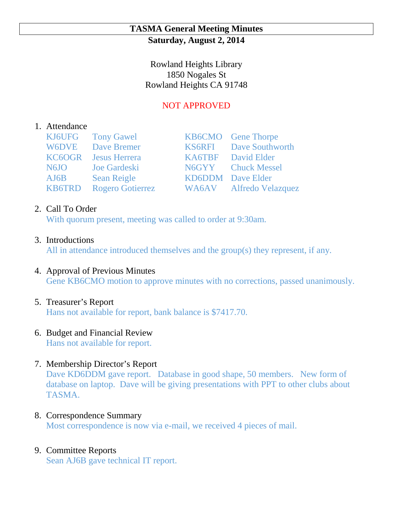## **TASMA General Meeting Minutes Saturday, August 2, 2014**

Rowland Heights Library 1850 Nogales St Rowland Heights CA 91748

# NOT APPROVED

## 1. Attendance

|      | KJ6UFG Tony Gawel           | <b>KB6CMO</b> Gene Thorpe     |
|------|-----------------------------|-------------------------------|
|      | <b>W6DVE</b> Dave Bremer    | <b>KS6RFI</b> Dave Southworth |
|      | <b>KC6OGR</b> Jesus Herrera | KA6TBF David Elder            |
| N6JO | Joe Gardeski                | N6GYY Chuck Messel            |
| AJ6B | <b>Sean Reigle</b>          | <b>KD6DDM</b> Dave Elder      |
|      | KB6TRD Rogero Gotierrez     | WA6AV Alfredo Velazquez       |

## 2. Call To Order

With quorum present, meeting was called to order at 9:30am.

3. Introductions

All in attendance introduced themselves and the group(s) they represent, if any.

4. Approval of Previous Minutes Gene KB6CMO motion to approve minutes with no corrections, passed unanimously.

# 5. Treasurer's Report

Hans not available for report, bank balance is \$7417.70.

# 6. Budget and Financial Review

Hans not available for report.

7. Membership Director's Report

Dave KD6DDM gave report. Database in good shape, 50 members. New form of database on laptop. Dave will be giving presentations with PPT to other clubs about TASMA.

## 8. Correspondence Summary Most correspondence is now via e-mail, we received 4 pieces of mail.

# 9. Committee Reports

Sean AJ6B gave technical IT report.